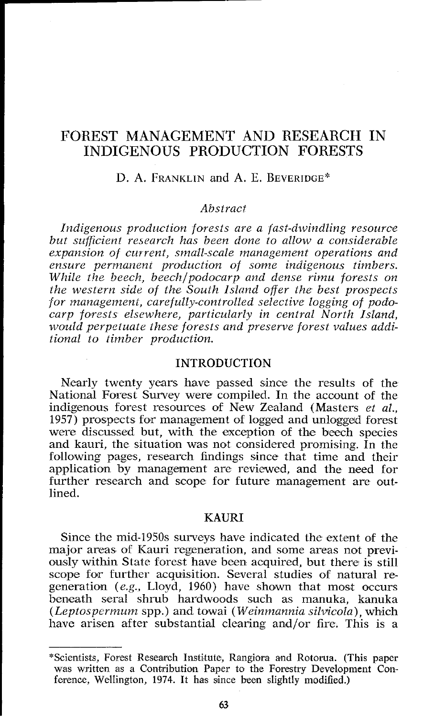# FOREST MANAGEMENT AND RESEARCH IN INDIGENOUS PRODUCTION FORESTS

## D. A. FRANKLIN and A. E. **BEVERIDGE\***

### *Abstraci*

*Indigenous production forests are a fast-dwindling resource but sufficient research has been done to allow a considerable*  expansion of current, small-scale management operations and *ensure permanenr production of some indigenous timbers. While the beech, beechlpodocarp and dense rimu forests on the western side of the South Island offer the best prospects for management, carefully-controlled selective logging of podocarp forests elsewhere, particularly in central Norih Island,*  would perpetuate these forests and preserve forest values addi*tional to iimber production.* 

### INTRODUCTION

Nearly twenty years have passed since the results of the National Forest Survey were compiled. In the account of the indigenous forest resources of New Zealand (Masters *et al.*, 1957) prospects for management of logged and unlogged forest were discussed but, with the exception of the beech species and kauri, the situation was not considered promising. In the following pages, research findings since that time and their application by management are reviewed, and the need for further research and scope for future management are outlined.

### KAURI

Since the mid-1950s surveys have indicated the extent of the major areas of Kauri regeneration, and some areas not previously within State forest have been acquired, but there is still scope for further acquisition. Several studies of natural regeneration *(e.g., Lloyd, 1960)* have shown that most occurs beneath seral shrub hardwoods such as manuka, kanuka *(Leptospermum spp.)* and towai *(Weinmannia silvicola)*, which have arisen after substantial clearing and/or fire. This is a

<sup>\*</sup>Scientists, Forest Research Institute, Rangiora and Rotorua. (This paper was written as a Contribution Paper to the Forestry Development Conference, Wellington, 1974. It has since been slightly modified.)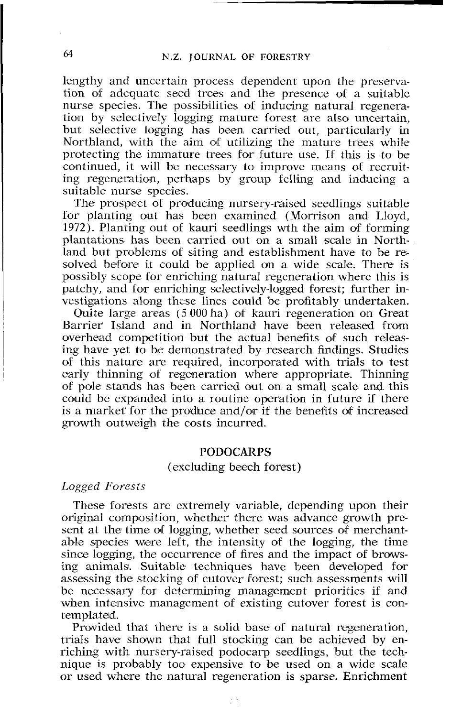lengthy and uncertain process dependent upon the preservation of adequate seed trees and the presence of a suitable nurse species. The possibilities of inducing natural regeneration by selectively logging mature forest are also uncertain, but selective logging has been carried out, particularly in Northland, with the aim of utilizing the mature trees while protecting the immature trees for future use. If this is to be continued, it will be necessary to improve means of recruiting regeneration, perhaps by group felling and inducing a suitable nurse species.

The prospect of producing nursery-raised seedlings suitable for planting out has been examined (Morrison and Lloyd, 1972). Planting out of kauri seedlings wth the aim of forming plantations has been carried out on a small scale in Northland but problems of siting and establishment have to be resolved before it could be applied on a wide scale. There is possibly scope for enriching natural regeneration where this is patchy, and for enriching selectively-logged forest; further investigations along these lines could be profitably undertaken.

Quite large areas (5 000 ha) of kauri regeneration on Great Barrier Island and in Northland have been released from overhead competition but the actual benefits of such releasing have yet to be demonstrated by research findings. Studies of this nature are required, incorporated with trials to test early thinning of regeneration where appropriate. Thinning of pole stands has been carried out on a small scale and this could be expanded into a routine operation in future if there is a market for the produce and/or if the benefits of increased growth outweigh the costs incurred.

#### PODOCARPS

## (excluding beech forest)

#### *Logged Forests*

These forests arc extremely variable, depending upon their original composition, whether there was advance growth present at the time of logging, whether seed sources of merchantable species were left, the intensity of the logging, the time since logging, the occurrence of fires and the impact of browsing animals. Suitable techniques have been developed for assessing the stocking of cutover forest; such assessments will be necessary for determining management priorities if and when intensive management of existing cutover forest is contemplated.

Provided that there is a solid base of natural regeneration, trials have shown that full stocking can be achieved by enriching with nursery-raised podocarp seedlings, but the technique is probably too expensive to be used on a wide scale or used where the natural regeneration is sparse. Enrichment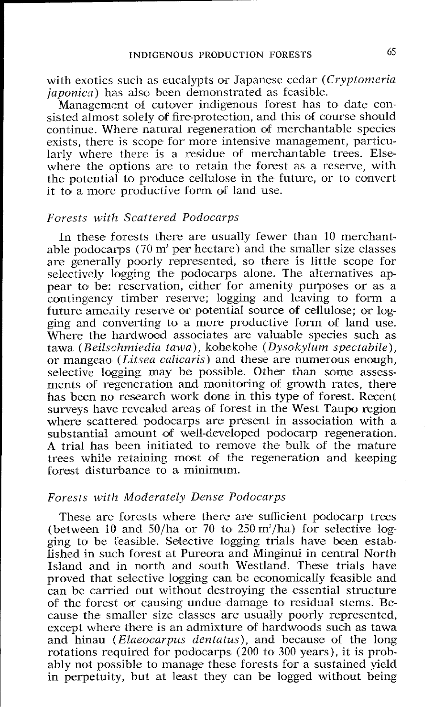with exotics such as eucalypts or Japanese cedar (Cryptomeria japonica) has alsc been demonstrated as feasible.

Management of cutover indigenous forest has to date consisted almost solely of fire-protection, and this of course should continue. Where natural regeneration of merchantable species exists, there is scope for more intensive management, particularly where there is a residue of merchantable trees. Elsewhere the options are to retain the forest as a reserve, with the potential to produce cellulose in the future, or to convert it to a more productive form of land use.

#### Forests with Scattered Podocarps

In these forests there are usually fewer than 10 merchantable podocarps  $(70 \text{ m}^3 \text{ per hectare})$  and the smaller size classes are generally poorly represented, so there is little scope for selectively logging the podocarps alone. The alternatives appear to be: reservation, either for amenity purposes or as a contingency timber reserve; logging and leaving to form a future amenity reserve or potential source of cellulose; or logging and converting to a more productive form of land use. Where the hardwood associates are valuable species such as tawa (Beilschmiedia tawa), kohekohe (Dysokylum spectabile), or mangeao (Litsea calicaris) and these are numerous enough, selective logging may be possible. Other than some assessments of regeneration and monitoring of growth rates, there has been no research work done in this type of forest. Recent surveys have revealed areas of forest in the West Taupo region where scattered podocarps are present in association with a substantial amount of well-developed podocarp regeneration. **A** trial has been initiated to remove the bulk of the mature trees while retaining most of the regeneration and keeping forest disturbance to a minimum.

#### Forests with Moderately Dense Podocarps

These are forests where there are sufficient podocarp trees (between 10 and 50/ha or 70 to 250 m<sup>3</sup>/ha) for selective logging to be feasible. Selective logging trials have been established in such forest at Pureora and Minginui in central North Island and in north and south Westland. These trials have proved that selective logging can be economically feasible and can be carried out without destroying the essential structure of the forest or causing undue damage to residual stems. Because the smaller size classes are usually poorly represented, except where there is an admixture of hardwoods such as tawa and hinau (*Elaeocarpus dentatus*), and because of the long rotations required for podocarps (200 to 300 years), it is probably not possible to manage these forests for a sustained yield in perpetuity, but at least they can be logged without being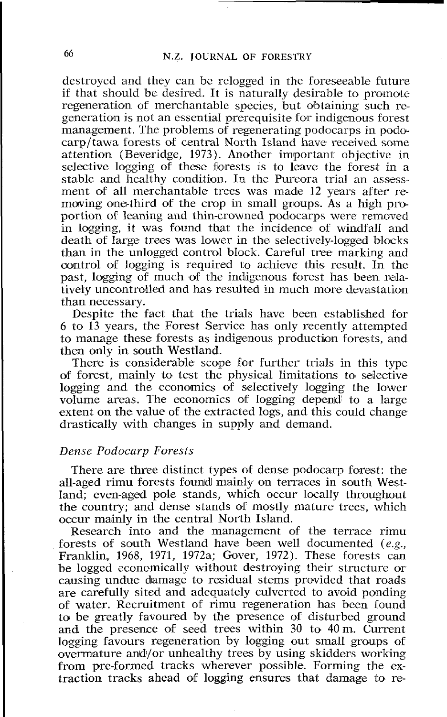destroyed and they can be relogged in the foreseeablc future if that should be desired. It is naturally desirable to promote regeneration of merchantable species, but obtaining such regeneration is not an essential prerequisite for indigenous forest management. The problems of regenerating podocarps in podocarp/tawa forests of central North Island have received some attention (Beveridge, 1973). Another important objective in selective logging of these forests is to leave the forest in a stable and healthy condition. In the Pureora trial an assessment of all merchantable trees was made 12 years after removing one-third of the crop in small groups. As a high proportion of leaning and thin-crowned podocarps were removed in logging, it was found that the incidence of windfall and death of large trees was lower in the selectively-logged blocks than in the unloggeld control block. Careful tree marking and control of logging is required lo achieve this result. In the past, logging of much of the indigenous forest has been relatively uncontrolled and has resulted in much more devastation than necessary.

Despite the fact that the trials have been established for 6 to  $\overline{13}$  years, the Forest Service has only recently attempted to manage these forests as indigenous production forests, and then only in south Westland.

There is considerable scope for further trials in this type of forest, mainly to test the physical limitations to selective logging and the economics of selectively logging the lower volume areas. The economics of logging depend to a large extent on the value of the extracted logs, and this could change drastically with changes in supply and demand.

## *Dense Podocarp Forests*

There are three distinct types of dense podocarp forest: the all-aged rimu forests found mainly on terraces in south Westland; even-aged pole stands, which occur locally throughout the country; and dense stands of mostly mature trees, which occur mainly in the central North Island.

Research into and the management of the terrace rimu forests of south Westland have been well documented *(e.g.,* Franklin, 1968, 1971, 1972a; Gover, 1972). These forests can be logged economically without destroying their structure or causing undue damage to residual stems provided that roads are carefully sited and adequately culverted to avoid ponding of water. Recruitment of rimu regeneration has been found to be greatly favoured by the presence of disturbed ground and the presence of seed trees within 30 to 40 m. Current logging favours regeneration by logging out small groups of overmature and/or unhealthy trees by using skidders working from pre-formed tracks wherever possible. Forming the extraction tracks ahead of lagging ensures that damage to re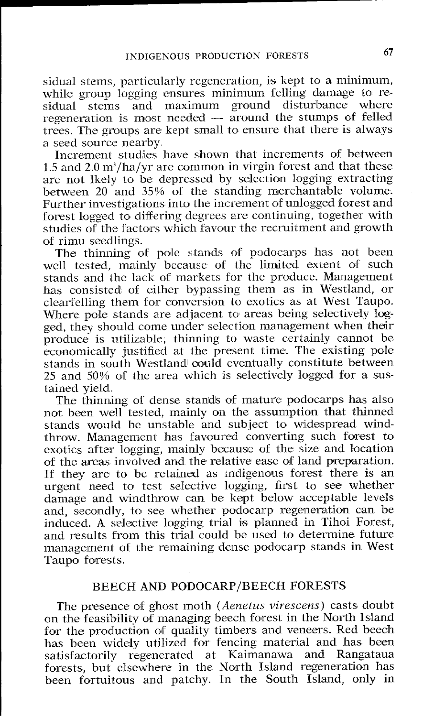sidual stems, particularly regeneration, is kept to a minimum, while group logging ensures minimum felling damage to residual stems and maximum ground disturbance where regeneration is most needed - around the stumps of felled trees. The groups arc kept small to ensure that there is always a seed source nearby.

Increment studies have shown that increments of between 1.5 and 2.0 m<sup>3</sup>/ha/yr are common in virgin forest and that these are not lkely to be depressed by selection logging extracting between 20 and 35% of the standing merchantable volume. Further investigations into the increment of unlogged forest and forest logged to differing degrees are continuing, together with studies of the factors which favour the recruitment and growth of rimu seedlings.

The thinning of pole stands of podocarps has not been well tested, mainly because of the limited extent of such stands and the lack of markets for the produce. Management has consisted' of either bypassing them as in Westland, or clearfelling them for conversion to exotics as at West Taupo. Where pole stands are adjacent to areas being selectively logged, they should come under selection management when their produce is utilizable, thinning to waste certainly cannot be economically justified at the present time. The existing pole stands in south Westland could eventually constitute between 25 and 50% of the area which 1s selectively logged for a sustained yield.

The thinning of dense stands of mature podocarps has also not been well tested, mainly on the assumption that thinned stands would be unstable and subject to widespread windthrow. Management has favoured converting such forest to exotics after logging, mainly because of the size and location of the areas involved and the relative ease of land preparation. If they are to be retained as indigenous forest there is an urgent need to test selective logging, first to see whether damage and windthrow can be kept below acceptable levels and, secondly, to see whether podocarp regeneration can be induced. A selective logging trial is planned in Tihoi Forest, and results from this trial could be used to determine future management of the remaining dense podocarp stands in West Taupo forests.

# BEECH AND PODOCARP/BEECH FORESTS

The presence of ghost moth *(Aenetus virescens)* casts doubt on the feasibility of managing beech forest in the North Island for the production of quality timbers and veneers. Red beech has been widely utilized for fencing material and has been satisfactorily regenerated at Kaimanawa and Rangataua forests, but elsewhere in the North Island regeneration has been fortuitous and patchy. In the South Island, only in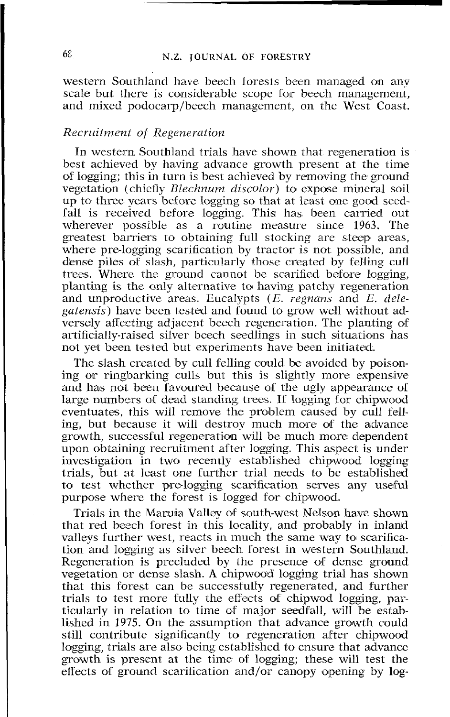western Southland have beech forests been managed on any scale but there is considerable scope for beech management, and mixed podocarp/beech management, on the West Coast.

#### Recruitment of Regeneration

In western Southland trials have shown that regeneration is best achievcd by having advance growth present at the time of logging; this in turn is best achicved by removing the ground vegetation (chiefly *Blechnum discolor*) to expose mineral soil up to three years before logging so that at least one good seedfall is received before logging. This has been carried out wherever possible as a routine measure since 1963. The greatest barriers to obtaining full stocking are stecp areas, where pre-logging scarification by tractor is not possible, and dense piles of slash, particularly those created by felling cull trees. Where the ground cannot be scarified before logging, planting is the only alternative to, having patchy regeneration and unproductive areas. Eucalypts  $(E,$  regnans and  $E,$  dele*gatensis*) have been tested and found to grow well without adversely affecting adjacent beech regeneration. The planting of artificially-raised silver bcech seedlings in such situations has not yet been tesied but experiments have been initiateld.

The slash created by cull felling could be avoided by poisoning or ringbarking culls but this is slightly more expensive and has not been favoured because of the ugly appearance of large numbers of dead standing trees. If logging for chipwood eventuates, this will remove the problem causcd by cull felling, but because it will destroy much more of the advance growth, successful regeneration will be much more dependent upon obtaining recruitment after logging. This aspect is under investigation in two recently established chipwood logging trials, but at least one further trial needs to be established to test whether pre-logging scarification serves any useful purpose where thc forest is logged for chipwood.

Trials in the Maruia Valley of south-west Nelson have shown that red beech forest in this locality, and probably in inland valleys further west, reacts in much the same way to scarification and logging as silver beech forest in western Southland. Regeneration is precluded by the presence of dense ground vegetation or dense slash. **A** chipwood logging trial bas shown that this forest can be successfully regenerated, and further trials to test more fully the effects of chipwod logging, particularly in relation to time of major seedfall, will be established in 1975. On the assumption that advance growth could still contribute significantly to regeneration after chipwood logging, trials are also being established to ensure that advance growth is present at the time of logging; these will test the effects of ground scarification and/or canopy opening by log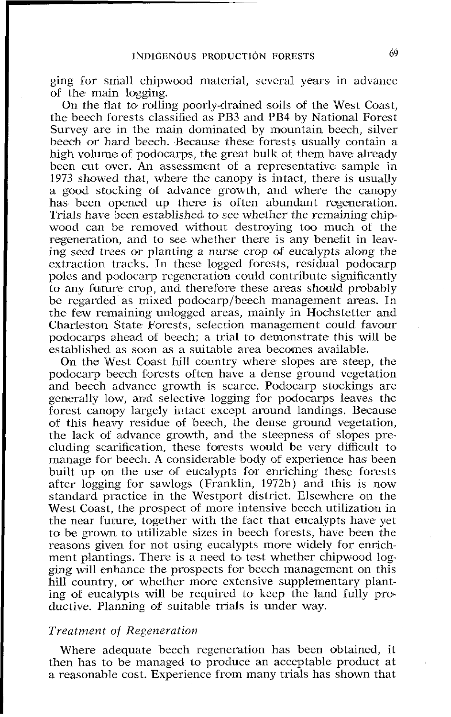ging for small chipwood material, several years in advancc of the main logging.

On the flat to rolling poorly-drained soils of the West Coast, the beech forcsts classified as PB3 and PB4 by National Forest Survey are in the main dominated by mountain beech, silver beech or hard beech. Because these forests usually contain a high volume of podocarps, the great bulk of them have already been cut over. An assessment of a representative sample in 1973 showed that, where the canopy is intact, there is usually a good stocking of advance growth, and where the canopy has been opened up there is often abundant regeneration. Trials have been established to see whether the remaining chipwood can be removed without destroying too much of the regeneration, and to see whcther there is any benefit in leaving seed trees or planting a nurse crop of eucalypts along the extraction tracks. In these logged forests, residual podocarp poles and podocarp regeneration could contribute significantly to any future crop, and therefore these areas should probably be regarded as mixed podocarp/beech management areas. In the few remaining unlogged areas, mainly in Hochstetter and Charleston Statc Forests, selection management could favour podocarps ahead of beech; a trial to demonstrate this will be established as soon as a suitable area becomes available.

On the West Coast hill country where slopes are steep, the podocarp beech forests often havc a dense ground vegetation and beech advance growth is scarce. Podocarp stockings are generally low, arild selective logging for podocarps leaves the forest canopy largely intact except around landings. Because of this heavy residue of beech, the dense ground vegetation, the lack of advance growth, and the steepness of slopes precluding scarification, these forests would bc very difficult to manage for beech. A considerable body of experience has been built up on the use of eucalypts for enriching these forests after logging for sawlogs (Franklin, 1972b) and this is now standard practice in the Westport district. Elsewhere on the West Coast, the prospect of more intensive beech utilization in the near future, together with the fact that eucalypts have yet to be grown to utilizable sizes in beech forests, have been the reasons given for not using eucalypts more widely for enrichment plantings. There is a need to test whether chipwood logging will enhancc the prospects for beech management on this hill country, or whether more extensive supplementary planting of eucalypts will be required to keep the land fully pro. ductive. Planning of suitable trials is under way.

#### *Treutment* of *Regeneration*

Where adequate beech regeneration has been obtained, it then has to be managed to produce an acceptable product at a reasonable cost. Experience from many trials has shown that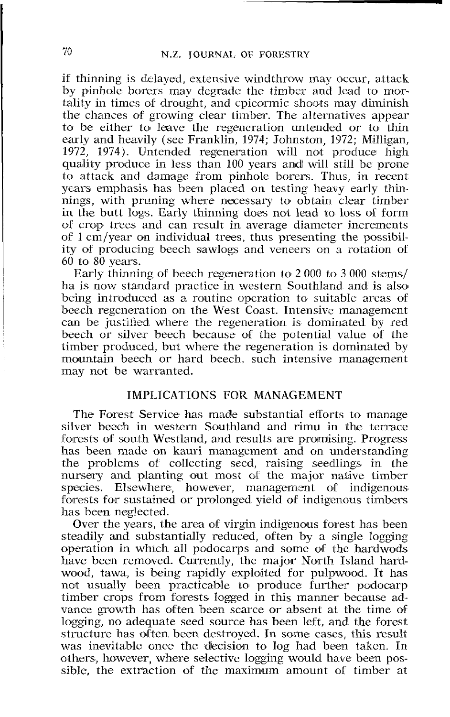if thinning is delayed, extensive windthrow may occur, attack by pinhole borers may degrade the timber and lead to mortality in times of drought, and epicormic shoots may diminish the chances of growing clear timber. The alternatives appear to be either to leave the regeneration untended or to thin early and heavily (see Franklin, 1974; Johnston, 1972; Milligan, 1972, 1974). Untended regeneration will not produce high quality produce in less than 100 years and will still be prone to attack and damage from pinhole borers. Thus, in recent years emphasis has been placed on testing heavy early thinnings, with pruning where necessary to obtain clear timber in the butt logs. Early thinning does not lead to loss of form of crop trees and can result in average diameter increments of 1 cm/year on individual trees, thus presenting the possibility of producing beech sawlogs and veneers on a rotation of 60 to 80 yeas.

Early thinning of beech regeneration to 2 000 to 3 000 stems/ ha is now standard practice in western Southland and is also being introduced as a routine operation to suitable areas of beech regeneration on the West Coast. Intensive management can be justified where the regeneration is dominated by red beech or silver beech because of the potential value of the timber produced, but where the regeneration is dominated by mountain beech or hard beech, such intensive management may not be warranted.

### IMPIJCATIONS FOR MANAGEMENT

The Forest Service has made substantial efforts to manage silver beech in western Southland and rimu in the terrace forests of south Westland, and results are promising. Progress has been made on kauri management and on understanding the problems of collecting seed, raising seedlings in the nursery and planting out most of the major native timber species. Elsewhere, however, management of indigenous forests for sustained or prolonged vield of indigenous timbers has been neglected.

Over the years, the area of virgin indigenous forest has been steadily and substantially reduced, often by a single logging operation in whrch all podocarps and some of the hardwods have been removed. Currently, the major North Island hardwood, tawa, is being rapidly exploited for pulpwood. It has not usually been practicable to produce further podocarp timber crops from forests logged in this manner because advance growth has often been scarce or absent at the time of logging, no adequate seed source has been left, and the forest structure has often been destroyed. In some cases, this result was inevitable once the decision to log had been taken. In others, however, where selective logging would have been possible, the extraction of the maximum amount of timber at